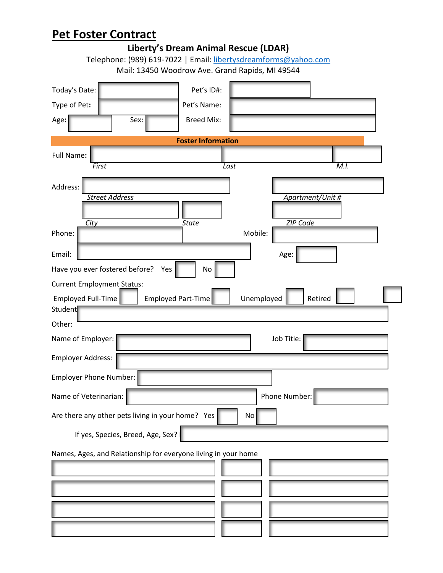|                                      | Pet Foster Contract                                             |                                      |            |                  |      |  |  |
|--------------------------------------|-----------------------------------------------------------------|--------------------------------------|------------|------------------|------|--|--|
|                                      |                                                                 | Liberty's Dream Animal Rescue (LDAR) |            |                  |      |  |  |
|                                      | Telephone: (989) 619-7022   Email: libertysdreamforms@yahoo.com |                                      |            |                  |      |  |  |
|                                      | Mail: 13450 Woodrow Ave. Grand Rapids, MI 49544                 |                                      |            |                  |      |  |  |
| Today's Date:                        |                                                                 | Pet's ID#:                           |            |                  |      |  |  |
| Type of Pet:                         |                                                                 | Pet's Name:                          |            |                  |      |  |  |
| Age:                                 | Sex:                                                            | <b>Breed Mix:</b>                    |            |                  |      |  |  |
| <b>Foster Information</b>            |                                                                 |                                      |            |                  |      |  |  |
| Full Name:                           |                                                                 |                                      |            |                  |      |  |  |
| First                                |                                                                 |                                      | Last       |                  | M.I. |  |  |
|                                      |                                                                 |                                      |            |                  |      |  |  |
| Address:                             | <b>Street Address</b>                                           |                                      |            | Apartment/Unit # |      |  |  |
|                                      |                                                                 |                                      |            |                  |      |  |  |
| City                                 |                                                                 | <b>State</b>                         |            | ZIP Code         |      |  |  |
| Phone:                               |                                                                 |                                      | Mobile:    |                  |      |  |  |
| Email:                               |                                                                 |                                      |            | Age:             |      |  |  |
|                                      | Have you ever fostered before?<br>Yes                           | No                                   |            |                  |      |  |  |
| <b>Current Employment Status:</b>    |                                                                 |                                      |            |                  |      |  |  |
| <b>Employed Full-Time</b><br>Student |                                                                 | Employed Part-Time                   | Unemployed | Retired          |      |  |  |
| Other:                               |                                                                 |                                      |            |                  |      |  |  |
| Name of Employer:                    |                                                                 |                                      |            | Job Title:       |      |  |  |
| Employer Address:                    |                                                                 |                                      |            |                  |      |  |  |
| <b>Employer Phone Number:</b>        |                                                                 |                                      |            |                  |      |  |  |
| Name of Veterinarian:                |                                                                 |                                      |            | Phone Number:    |      |  |  |
|                                      | Are there any other pets living in your home? Yes               |                                      | No         |                  |      |  |  |
|                                      | If yes, Species, Breed, Age, Sex?                               |                                      |            |                  |      |  |  |
|                                      | Names, Ages, and Relationship for everyone living in your home  |                                      |            |                  |      |  |  |
|                                      |                                                                 |                                      |            |                  |      |  |  |
|                                      |                                                                 |                                      |            |                  |      |  |  |
|                                      |                                                                 |                                      |            |                  |      |  |  |
|                                      |                                                                 |                                      |            |                  |      |  |  |
|                                      |                                                                 |                                      |            |                  |      |  |  |
|                                      |                                                                 |                                      |            |                  |      |  |  |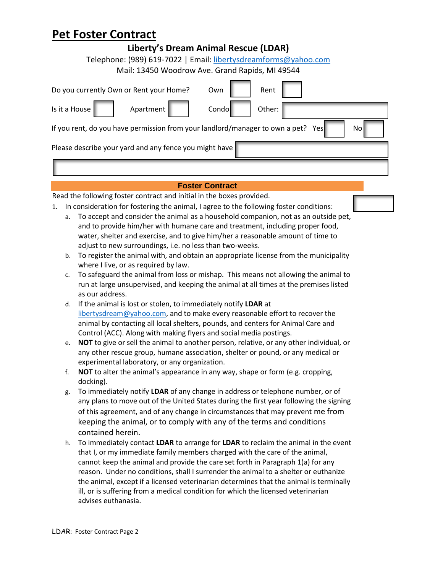| <b>FEL FUSIEI CUIILIALL</b>                                                            |                                                                                                                                                  |  |  |  |  |  |
|----------------------------------------------------------------------------------------|--------------------------------------------------------------------------------------------------------------------------------------------------|--|--|--|--|--|
| Liberty's Dream Animal Rescue (LDAR)                                                   |                                                                                                                                                  |  |  |  |  |  |
| Telephone: (989) 619-7022   Email: libertysdreamforms@yahoo.com                        |                                                                                                                                                  |  |  |  |  |  |
| Mail: 13450 Woodrow Ave. Grand Rapids, MI 49544                                        |                                                                                                                                                  |  |  |  |  |  |
|                                                                                        |                                                                                                                                                  |  |  |  |  |  |
| Do you currently Own or Rent your Home?<br>Rent<br>Own                                 |                                                                                                                                                  |  |  |  |  |  |
|                                                                                        | Is it a House<br>Apartment<br>Condo<br>Other:                                                                                                    |  |  |  |  |  |
| If you rent, do you have permission from your landlord/manager to own a pet? Yes<br>No |                                                                                                                                                  |  |  |  |  |  |
| Please describe your yard and any fence you might have                                 |                                                                                                                                                  |  |  |  |  |  |
|                                                                                        |                                                                                                                                                  |  |  |  |  |  |
|                                                                                        |                                                                                                                                                  |  |  |  |  |  |
| <b>Foster Contract</b>                                                                 |                                                                                                                                                  |  |  |  |  |  |
|                                                                                        | Read the following foster contract and initial in the boxes provided.                                                                            |  |  |  |  |  |
| 1.                                                                                     | In consideration for fostering the animal, I agree to the following foster conditions:                                                           |  |  |  |  |  |
|                                                                                        | To accept and consider the animal as a household companion, not as an outside pet,<br>a.                                                         |  |  |  |  |  |
|                                                                                        | and to provide him/her with humane care and treatment, including proper food,                                                                    |  |  |  |  |  |
|                                                                                        | water, shelter and exercise, and to give him/her a reasonable amount of time to                                                                  |  |  |  |  |  |
| b.                                                                                     | adjust to new surroundings, i.e. no less than two-weeks.<br>To register the animal with, and obtain an appropriate license from the municipality |  |  |  |  |  |
|                                                                                        | where I live, or as required by law.                                                                                                             |  |  |  |  |  |
| c.                                                                                     | To safeguard the animal from loss or mishap. This means not allowing the animal to                                                               |  |  |  |  |  |
|                                                                                        | run at large unsupervised, and keeping the animal at all times at the premises listed                                                            |  |  |  |  |  |
|                                                                                        | as our address.                                                                                                                                  |  |  |  |  |  |
| d.                                                                                     | If the animal is lost or stolen, to immediately notify LDAR at                                                                                   |  |  |  |  |  |
|                                                                                        | libertysdream@yahoo.com, and to make every reasonable effort to recover the                                                                      |  |  |  |  |  |
|                                                                                        | animal by contacting all local shelters, pounds, and centers for Animal Care and                                                                 |  |  |  |  |  |
|                                                                                        | Control (ACC). Along with making flyers and social media postings.                                                                               |  |  |  |  |  |
| e.                                                                                     | NOT to give or sell the animal to another person, relative, or any other individual, or                                                          |  |  |  |  |  |
|                                                                                        | any other rescue group, humane association, shelter or pound, or any medical or                                                                  |  |  |  |  |  |
|                                                                                        | experimental laboratory, or any organization.                                                                                                    |  |  |  |  |  |
| f.                                                                                     | NOT to alter the animal's appearance in any way, shape or form (e.g. cropping,                                                                   |  |  |  |  |  |
|                                                                                        | docking).                                                                                                                                        |  |  |  |  |  |
| g.                                                                                     | To immediately notify LDAR of any change in address or telephone number, or of                                                                   |  |  |  |  |  |
|                                                                                        | any plans to move out of the United States during the first year following the signing                                                           |  |  |  |  |  |
|                                                                                        | of this agreement, and of any change in circumstances that may prevent me from                                                                   |  |  |  |  |  |
|                                                                                        | keeping the animal, or to comply with any of the terms and conditions                                                                            |  |  |  |  |  |
|                                                                                        | contained herein.                                                                                                                                |  |  |  |  |  |
| h.                                                                                     | To immediately contact LDAR to arrange for LDAR to reclaim the animal in the event                                                               |  |  |  |  |  |
|                                                                                        | that I, or my immediate family members charged with the care of the animal,                                                                      |  |  |  |  |  |
|                                                                                        | cannot keep the animal and provide the care set forth in Paragraph 1(a) for any                                                                  |  |  |  |  |  |
|                                                                                        | reason. Under no conditions, shall I surrender the animal to a shelter or euthanize                                                              |  |  |  |  |  |
|                                                                                        | the animal, except if a licensed veterinarian determines that the animal is terminally                                                           |  |  |  |  |  |
|                                                                                        | ill, or is suffering from a medical condition for which the licensed veterinarian                                                                |  |  |  |  |  |
|                                                                                        | advises euthanasia.                                                                                                                              |  |  |  |  |  |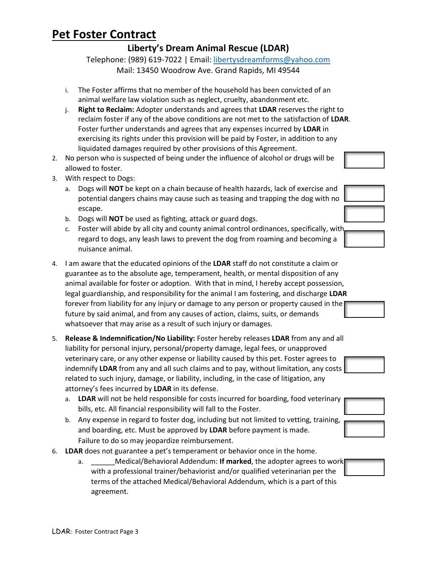#### **Liberty's Dream Animal Rescue (LDAR)**

Telephone: (989) 619-7022 | Email: [libertysdreamforms@yahoo.com](mailto:libertysdreamforms@yahoo.com) Mail: 13450 Woodrow Ave. Grand Rapids, MI 49544

- i. The Foster affirms that no member of the household has been convicted of an animal welfare law violation such as neglect, cruelty, abandonment etc.
- j. **Right to Reclaim:** Adopter understands and agrees that **LDAR** reserves the right to reclaim foster if any of the above conditions are not met to the satisfaction of **LDAR**. Foster further understands and agrees that any expenses incurred by **LDAR** in exercising its rights under this provision will be paid by Foster, in addition to any liquidated damages required by other provisions of this Agreement.
- 2. No person who is suspected of being under the influence of alcohol or drugs will be allowed to foster.
- 3. With respect to Dogs:
	- a. Dogs will **NOT** be kept on a chain because of health hazards, lack of exercise and potential dangers chains may cause such as teasing and trapping the dog with no escape.
	- b. Dogs will **NOT** be used as fighting, attack or guard dogs.
	- c. Foster will abide by all city and county animal control ordinances, specifically, with regard to dogs, any leash laws to prevent the dog from roaming and becoming a nuisance animal.
- 4. I am aware that the educated opinions of the **LDAR** staff do not constitute a claim or guarantee as to the absolute age, temperament, health, or mental disposition of any animal available for foster or adoption. With that in mind, I hereby accept possession, legal guardianship, and responsibility for the animal I am fostering, and discharge **LDAR** forever from liability for any injury or damage to any person or property caused in the future by said animal, and from any causes of action, claims, suits, or demands whatsoever that may arise as a result of such injury or damages.
- 5. **Release & Indemnification/No Liability:** Foster hereby releases **LDAR** from any and all liability for personal injury, personal/property damage, legal fees, or unapproved veterinary care, or any other expense or liability caused by this pet. Foster agrees to indemnify **LDAR** from any and all such claims and to pay, without limitation, any costs related to such injury, damage, or liability, including, in the case of litigation, any attorney's fees incurred by **LDAR** in its defense.
	- a. **LDAR** will not be held responsible for costs incurred for boarding, food veterinary bills, etc. All financial responsibility will fall to the Foster.
	- b. Any expense in regard to foster dog, including but not limited to vetting, training, and boarding, etc. Must be approved by **LDAR** before payment is made. Failure to do so may jeopardize reimbursement.
- 6. **LDAR** does not guarantee a pet's temperament or behavior once in the home.
	- a. \_\_\_\_\_\_Medical/Behavioral Addendum: **If marked**, the adopter agrees to work with a professional trainer/behaviorist and/or qualified veterinarian per the terms of the attached Medical/Behavioral Addendum, which is a part of this agreement.









LDAR: Foster Contract Page 3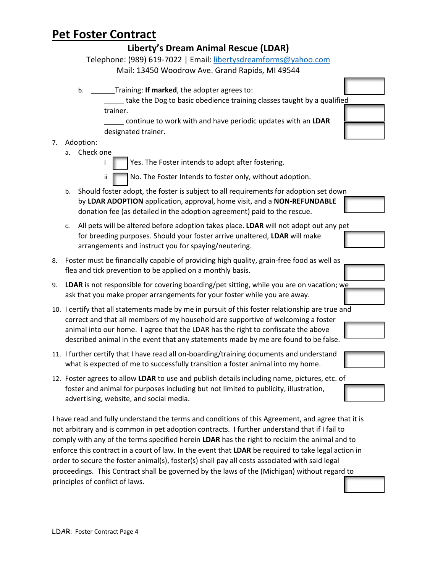|                                                                                                                    |                                                                                                                                                                                                                                                                                                                                                                   | Liberty's Dream Animal Rescue (LDAR)                                                                                                                                                                                                                                                                                                                                                                                                                                                                                                                                                                                                           |  |  |  |
|--------------------------------------------------------------------------------------------------------------------|-------------------------------------------------------------------------------------------------------------------------------------------------------------------------------------------------------------------------------------------------------------------------------------------------------------------------------------------------------------------|------------------------------------------------------------------------------------------------------------------------------------------------------------------------------------------------------------------------------------------------------------------------------------------------------------------------------------------------------------------------------------------------------------------------------------------------------------------------------------------------------------------------------------------------------------------------------------------------------------------------------------------------|--|--|--|
| Telephone: (989) 619-7022   Email: libertysdreamforms@yahoo.com<br>Mail: 13450 Woodrow Ave. Grand Rapids, MI 49544 |                                                                                                                                                                                                                                                                                                                                                                   |                                                                                                                                                                                                                                                                                                                                                                                                                                                                                                                                                                                                                                                |  |  |  |
|                                                                                                                    |                                                                                                                                                                                                                                                                                                                                                                   |                                                                                                                                                                                                                                                                                                                                                                                                                                                                                                                                                                                                                                                |  |  |  |
|                                                                                                                    |                                                                                                                                                                                                                                                                                                                                                                   | Training: If marked, the adopter agrees to:<br>b.<br>take the Dog to basic obedience training classes taught by a qualified<br>trainer.                                                                                                                                                                                                                                                                                                                                                                                                                                                                                                        |  |  |  |
|                                                                                                                    |                                                                                                                                                                                                                                                                                                                                                                   | continue to work with and have periodic updates with an LDAR<br>designated trainer.                                                                                                                                                                                                                                                                                                                                                                                                                                                                                                                                                            |  |  |  |
| 7.                                                                                                                 |                                                                                                                                                                                                                                                                                                                                                                   | Adoption:<br>Check one                                                                                                                                                                                                                                                                                                                                                                                                                                                                                                                                                                                                                         |  |  |  |
|                                                                                                                    | a.                                                                                                                                                                                                                                                                                                                                                                | Yes. The Foster intends to adopt after fostering.                                                                                                                                                                                                                                                                                                                                                                                                                                                                                                                                                                                              |  |  |  |
|                                                                                                                    |                                                                                                                                                                                                                                                                                                                                                                   | No. The Foster Intends to foster only, without adoption.<br>ΪÎ.                                                                                                                                                                                                                                                                                                                                                                                                                                                                                                                                                                                |  |  |  |
|                                                                                                                    | b.                                                                                                                                                                                                                                                                                                                                                                | Should foster adopt, the foster is subject to all requirements for adoption set down<br>by LDAR ADOPTION application, approval, home visit, and a NON-REFUNDABLE<br>donation fee (as detailed in the adoption agreement) paid to the rescue.                                                                                                                                                                                                                                                                                                                                                                                                   |  |  |  |
|                                                                                                                    | c.                                                                                                                                                                                                                                                                                                                                                                | All pets will be altered before adoption takes place. LDAR will not adopt out any pet<br>for breeding purposes. Should your foster arrive unaltered, LDAR will make<br>arrangements and instruct you for spaying/neutering.                                                                                                                                                                                                                                                                                                                                                                                                                    |  |  |  |
| 8.                                                                                                                 |                                                                                                                                                                                                                                                                                                                                                                   | Foster must be financially capable of providing high quality, grain-free food as well as<br>flea and tick prevention to be applied on a monthly basis.                                                                                                                                                                                                                                                                                                                                                                                                                                                                                         |  |  |  |
| 9.                                                                                                                 |                                                                                                                                                                                                                                                                                                                                                                   | LDAR is not responsible for covering boarding/pet sitting, while you are on vacation; we<br>ask that you make proper arrangements for your foster while you are away.                                                                                                                                                                                                                                                                                                                                                                                                                                                                          |  |  |  |
|                                                                                                                    | 10. I certify that all statements made by me in pursuit of this foster relationship are true and<br>correct and that all members of my household are supportive of welcoming a foster<br>animal into our home. I agree that the LDAR has the right to confiscate the above<br>described animal in the event that any statements made by me are found to be false. |                                                                                                                                                                                                                                                                                                                                                                                                                                                                                                                                                                                                                                                |  |  |  |
|                                                                                                                    |                                                                                                                                                                                                                                                                                                                                                                   | 11. I further certify that I have read all on-boarding/training documents and understand<br>what is expected of me to successfully transition a foster animal into my home.                                                                                                                                                                                                                                                                                                                                                                                                                                                                    |  |  |  |
|                                                                                                                    |                                                                                                                                                                                                                                                                                                                                                                   | 12. Foster agrees to allow LDAR to use and publish details including name, pictures, etc. of<br>foster and animal for purposes including but not limited to publicity, illustration,<br>advertising, website, and social media.                                                                                                                                                                                                                                                                                                                                                                                                                |  |  |  |
|                                                                                                                    |                                                                                                                                                                                                                                                                                                                                                                   | I have read and fully understand the terms and conditions of this Agreement, and agree that it is<br>not arbitrary and is common in pet adoption contracts. I further understand that if I fail to<br>comply with any of the terms specified herein LDAR has the right to reclaim the animal and to<br>enforce this contract in a court of law. In the event that LDAR be required to take legal action in<br>order to secure the foster animal(s), foster(s) shall pay all costs associated with said legal<br>proceedings. This Contract shall be governed by the laws of the (Michigan) without regard to<br>principles of conflict of laws |  |  |  |

principles of conflict of laws.